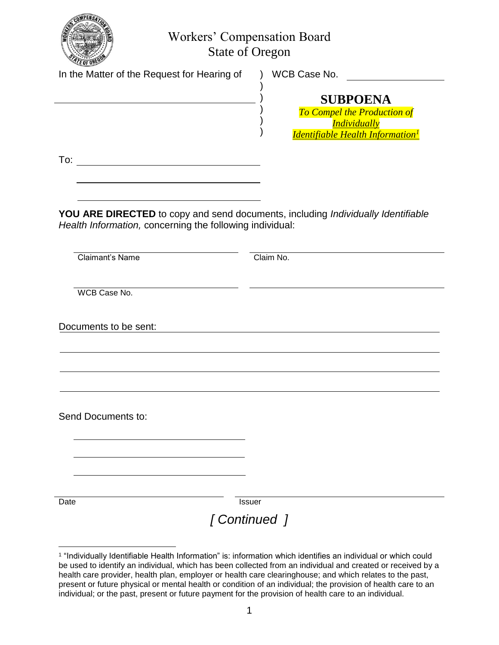

Workers' Compensation Board State of Oregon

)

) ) )

In the Matter of the Request for Hearing of ) WCB Case No.

## ) **SUBPOENA**

*To Compel the Production of Individually Identifiable Health Information<sup>1</sup>*

To:

**YOU ARE DIRECTED** to copy and send documents, including *Individually Identifiable Health Information,* concerning the following individual:

Claimant's Name Claim No.

WCB Case No.

Documents to be sent:

Send Documents to:

Date **Issuer** 

## *[ Continued ]*

 $\overline{a}$ 1 "Individually Identifiable Health Information" is: information which identifies an individual or which could be used to identify an individual, which has been collected from an individual and created or received by a health care provider, health plan, employer or health care clearinghouse; and which relates to the past, present or future physical or mental health or condition of an individual; the provision of health care to an individual; or the past, present or future payment for the provision of health care to an individual.